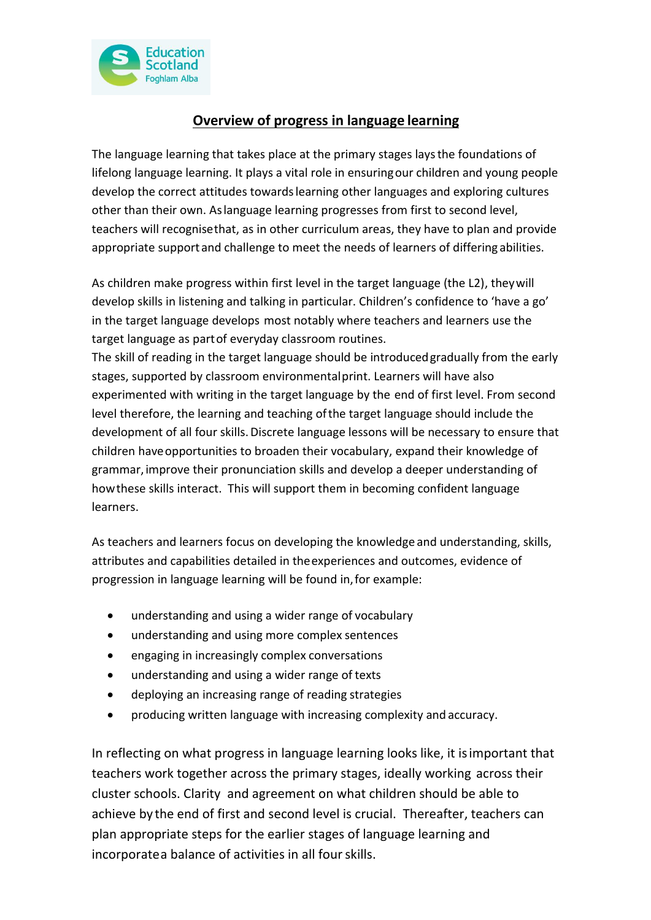

## **Overview of progress in language learning**

The language learning that takes place at the primary stages laysthe foundations of lifelong language learning. It plays a vital role in ensuringour children and young people develop the correct attitudes towardslearning other languages and exploring cultures other than their own. Aslanguage learning progresses from first to second level, teachers will recognisethat, as in other curriculum areas, they have to plan and provide appropriate support and challenge to meet the needs of learners of differing abilities.

As children make progress within first level in the target language (the L2), theywill develop skills in listening and talking in particular. Children's confidence to 'have a go' in the target language develops most notably where teachers and learners use the target language as partof everyday classroom routines.

The skill of reading in the target language should be introducedgradually from the early stages, supported by classroom environmentalprint. Learners will have also experimented with writing in the target language by the end of first level. From second level therefore, the learning and teaching ofthe target language should include the development of all four skills.Discrete language lessons will be necessary to ensure that children haveopportunities to broaden their vocabulary, expand their knowledge of grammar,improve their pronunciation skills and develop a deeper understanding of howthese skills interact. This will support them in becoming confident language learners.

As teachers and learners focus on developing the knowledge and understanding, skills, attributes and capabilities detailed in theexperiences and outcomes, evidence of progression in language learning will be found in,for example:

- understanding and using a wider range of vocabulary
- understanding and using more complex sentences
- engaging in increasingly complex conversations
- understanding and using a wider range of texts
- deploying an increasing range of reading strategies
- producing written language with increasing complexity and accuracy.

In reflecting on what progress in language learning looks like, it isimportant that teachers work together across the primary stages, ideally working across their cluster schools. Clarity and agreement on what children should be able to achieve by the end of first and second level is crucial. Thereafter, teachers can plan appropriate steps for the earlier stages of language learning and incorporatea balance of activities in all fourskills.